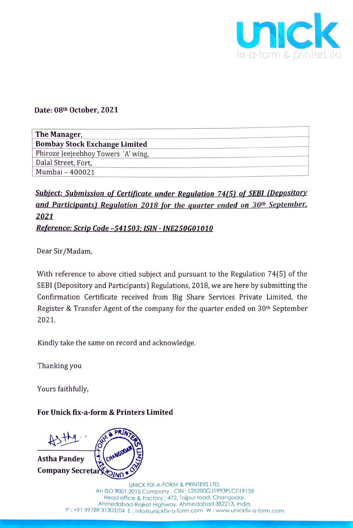

## Date:  $08^{th}$  October, 2021 Date: 08th October, 2021

| The Manager,                         |
|--------------------------------------|
| <b>Bombay Stock Exchange Limited</b> |
| Phiroze Jeejeebhoy Towers 'A' wing,  |
| Dalal Street, Fort,                  |
| Mumbai - 400021                      |

## Subject: Submission of Certificate under Regulation 74(5) of SEBI (Depository and Participants) Regulation 2018 for the quarter ended on 30<sup>th</sup> September, 2021 Reference: Scrip Code -541503; ISIN - INE250G01010

Dear Sir/Madam,

With reference to above citied subject and pursuant to the Regulation 74(5) of the SEBI (Depository and Participants) Regulations, 2018, we are here by submitting the Confirmation Certificate received from Big Share Services Private Limited, the Register & Transfer Agent of the company for the quarter ended on 30<sup>th</sup> September 2021. Date: 08th October, 2021<br>
The Manager.<br>
The Manager.<br>
The Manager.<br>
The Manager.<br>
The Manager.<br>
The Manager.<br>
The Manager.<br>
The Manager.<br>
The Manager.<br>
Fincare Leedsber, Towar: "A' wiss,<br>
Disk Sirce Leedsber, Towar: "A' w

Kindly take the same on record and acknowledge.

Thanking you

Yours faithfully,

## For Unick fix-a-form & Printers Limited

Astha Pandey<br>Company Secre



019158<br>| dar,<br>| India.<br>| nickfix-a-form. UNICK FIX-A-FORM & PRINTERS LTD. An ISO 9001:2015 Company CIN :L25200GJ1993PLC019158 Head office & Factory : 472, Tajpur road, Changodar, Ahmedabad-Rajkot Highway, Anmedabad 382213, India. P:+91 99789 31303/04 E : info@unickfix-a-form.com W : www.unickfix-a-form.com